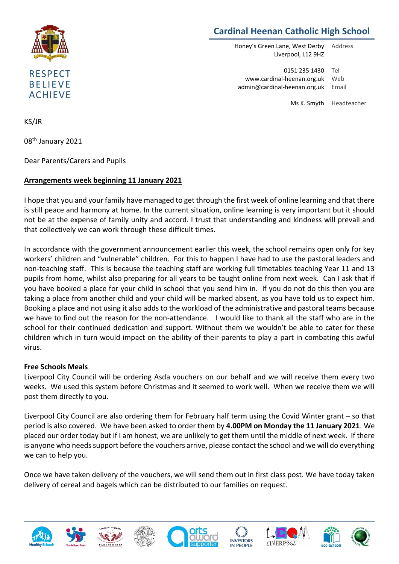

# **Cardinal Heenan Catholic High School**

Honey's Green Lane, West Derby Liverpool, L12 9HZ Address

0151 235 1430 Tel www.cardinal-heenan.org.uk admin@cardinal-heenan.org.uk Email Web

Ms K. Smyth Headteacher

KS/JR

08th January 2021

Dear Parents/Carers and Pupils

## **Arrangements week beginning 11 January 2021**

I hope that you and your family have managed to get through the first week of online learning and that there is still peace and harmony at home. In the current situation, online learning is very important but it should not be at the expense of family unity and accord. I trust that understanding and kindness will prevail and that collectively we can work through these difficult times.

In accordance with the government announcement earlier this week, the school remains open only for key workers' children and "vulnerable" children. For this to happen I have had to use the pastoral leaders and non-teaching staff. This is because the teaching staff are working full timetables teaching Year 11 and 13 pupils from home, whilst also preparing for all years to be taught online from next week. Can I ask that if you have booked a place for your child in school that you send him in. If you do not do this then you are taking a place from another child and your child will be marked absent, as you have told us to expect him. Booking a place and not using it also adds to the workload of the administrative and pastoral teams because we have to find out the reason for the non-attendance. I would like to thank all the staff who are in the school for their continued dedication and support. Without them we wouldn't be able to cater for these children which in turn would impact on the ability of their parents to play a part in combating this awful virus.

#### **Free Schools Meals**

Liverpool City Council will be ordering Asda vouchers on our behalf and we will receive them every two weeks. We used this system before Christmas and it seemed to work well. When we receive them we will post them directly to you.

Liverpool City Council are also ordering them for February half term using the Covid Winter grant – so that period is also covered. We have been asked to order them by **4.00PM on Monday the 11 January 2021**. We placed our order today but if I am honest, we are unlikely to get them until the middle of next week. If there is anyone who needs support before the vouchers arrive, please contact the school and we will do everything we can to help you.

Once we have taken delivery of the vouchers, we will send them out in first class post. We have today taken delivery of cereal and bagels which can be distributed to our families on request.















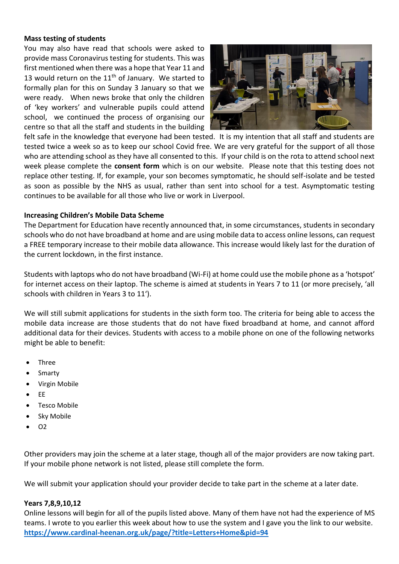#### **Mass testing of students**

You may also have read that schools were asked to provide mass Coronavirus testing for students. This was first mentioned when there was a hope that Year 11 and 13 would return on the  $11<sup>th</sup>$  of January. We started to formally plan for this on Sunday 3 January so that we were ready. When news broke that only the children of 'key workers' and vulnerable pupils could attend school, we continued the process of organising our centre so that all the staff and students in the building



felt safe in the knowledge that everyone had been tested. It is my intention that all staff and students are tested twice a week so as to keep our school Covid free. We are very grateful for the support of all those who are attending school as they have all consented to this. If your child is on the rota to attend school next week please complete the **consent form** which is on our website. Please note that this testing does not replace other testing. If, for example, your son becomes symptomatic, he should self-isolate and be tested as soon as possible by the NHS as usual, rather than sent into school for a test. Asymptomatic testing continues to be available for all those who live or work in Liverpool.

## **Increasing Children's Mobile Data Scheme**

The Department for Education have recently announced that, in some circumstances, students in secondary schools who do not have broadband at home and are using mobile data to access online lessons, can request a FREE temporary increase to their mobile data allowance. This increase would likely last for the duration of the current lockdown, in the first instance.

Students with laptops who do not have broadband (Wi-Fi) at home could use the mobile phone as a 'hotspot' for internet access on their laptop. The scheme is aimed at students in Years 7 to 11 (or more precisely, 'all schools with children in Years 3 to 11').

We will still submit applications for students in the sixth form too. The criteria for being able to access the mobile data increase are those students that do not have fixed broadband at home, and cannot afford additional data for their devices. Students with access to a mobile phone on one of the following networks might be able to benefit:

- Three
- Smarty
- Virgin Mobile
- EE
- Tesco Mobile
- Sky Mobile
- $\bullet$  02

Other providers may join the scheme at a later stage, though all of the major providers are now taking part. If your mobile phone network is not listed, please still complete the form.

We will submit your application should your provider decide to take part in the scheme at a later date.

## **Years 7,8,9,10,12**

Online lessons will begin for all of the pupils listed above. Many of them have not had the experience of MS teams. I wrote to you earlier this week about how to use the system and I gave you the link to our website. **<https://www.cardinal-heenan.org.uk/page/?title=Letters+Home&pid=94>**